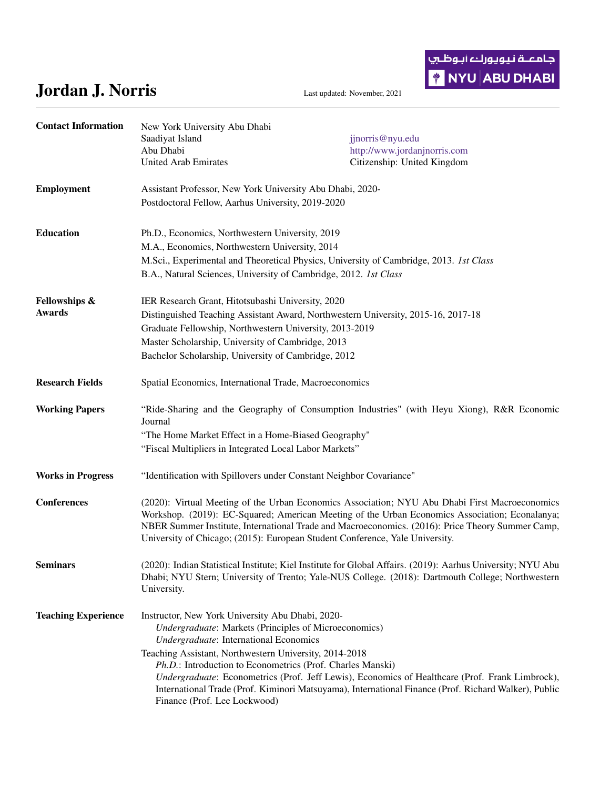## Jordan J. Norris Last updated: November, 2021

جامعــة نـيويوركء أبـوظـ<del>ر</del>ي **\*** NYU ABU DHABI

| <b>Contact Information</b>                | New York University Abu Dhabi<br>Saadiyat Island<br>Abu Dhabi<br><b>United Arab Emirates</b>                                                                                                                                                                                                                                                                                                                                                                                                                                  | jjnorris@nyu.edu<br>http://www.jordanjnorris.com<br>Citizenship: United Kingdom                                                                                                                                  |
|-------------------------------------------|-------------------------------------------------------------------------------------------------------------------------------------------------------------------------------------------------------------------------------------------------------------------------------------------------------------------------------------------------------------------------------------------------------------------------------------------------------------------------------------------------------------------------------|------------------------------------------------------------------------------------------------------------------------------------------------------------------------------------------------------------------|
| <b>Employment</b>                         | Assistant Professor, New York University Abu Dhabi, 2020-<br>Postdoctoral Fellow, Aarhus University, 2019-2020                                                                                                                                                                                                                                                                                                                                                                                                                |                                                                                                                                                                                                                  |
| <b>Education</b>                          | Ph.D., Economics, Northwestern University, 2019<br>M.A., Economics, Northwestern University, 2014<br>M.Sci., Experimental and Theoretical Physics, University of Cambridge, 2013. Ist Class<br>B.A., Natural Sciences, University of Cambridge, 2012. 1st Class                                                                                                                                                                                                                                                               |                                                                                                                                                                                                                  |
| <b>Fellowships &amp;</b><br><b>Awards</b> | IER Research Grant, Hitotsubashi University, 2020<br>Distinguished Teaching Assistant Award, Northwestern University, 2015-16, 2017-18<br>Graduate Fellowship, Northwestern University, 2013-2019<br>Master Scholarship, University of Cambridge, 2013<br>Bachelor Scholarship, University of Cambridge, 2012                                                                                                                                                                                                                 |                                                                                                                                                                                                                  |
| <b>Research Fields</b>                    | Spatial Economics, International Trade, Macroeconomics                                                                                                                                                                                                                                                                                                                                                                                                                                                                        |                                                                                                                                                                                                                  |
| <b>Working Papers</b>                     | "Ride-Sharing and the Geography of Consumption Industries" (with Heyu Xiong), R&R Economic<br>Journal<br>"The Home Market Effect in a Home-Biased Geography"<br>"Fiscal Multipliers in Integrated Local Labor Markets"                                                                                                                                                                                                                                                                                                        |                                                                                                                                                                                                                  |
| <b>Works in Progress</b>                  | "Identification with Spillovers under Constant Neighbor Covariance"                                                                                                                                                                                                                                                                                                                                                                                                                                                           |                                                                                                                                                                                                                  |
| <b>Conferences</b>                        | (2020): Virtual Meeting of the Urban Economics Association; NYU Abu Dhabi First Macroeconomics<br>Workshop. (2019): EC-Squared; American Meeting of the Urban Economics Association; Econalanya;<br>NBER Summer Institute, International Trade and Macroeconomics. (2016): Price Theory Summer Camp,<br>University of Chicago; (2015): European Student Conference, Yale University.                                                                                                                                          |                                                                                                                                                                                                                  |
| <b>Seminars</b>                           | University.                                                                                                                                                                                                                                                                                                                                                                                                                                                                                                                   | (2020): Indian Statistical Institute; Kiel Institute for Global Affairs. (2019): Aarhus University; NYU Abu<br>Dhabi; NYU Stern; University of Trento; Yale-NUS College. (2018): Dartmouth College; Northwestern |
| <b>Teaching Experience</b>                | Instructor, New York University Abu Dhabi, 2020-<br><b>Undergraduate: Markets (Principles of Microeconomics)</b><br>Undergraduate: International Economics<br>Teaching Assistant, Northwestern University, 2014-2018<br>Ph.D.: Introduction to Econometrics (Prof. Charles Manski)<br>Undergraduate: Econometrics (Prof. Jeff Lewis), Economics of Healthcare (Prof. Frank Limbrock),<br>International Trade (Prof. Kiminori Matsuyama), International Finance (Prof. Richard Walker), Public<br>Finance (Prof. Lee Lockwood) |                                                                                                                                                                                                                  |